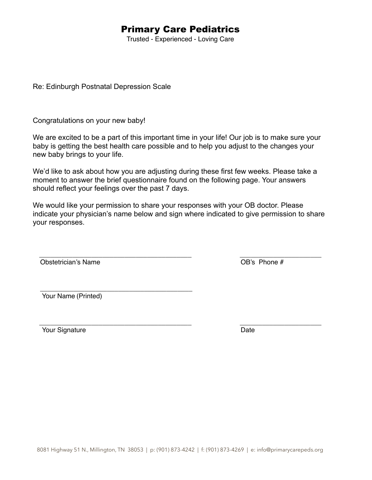# Primary Care Pediatrics

Trusted - Experienced - Loving Care

Re: Edinburgh Postnatal Depression Scale

Congratulations on your new baby!

We are excited to be a part of this important time in your life! Our job is to make sure your baby is getting the best health care possible and to help you adjust to the changes your new baby brings to your life.

We'd like to ask about how you are adjusting during these first few weeks. Please take a moment to answer the brief questionnaire found on the following page. Your answers should reflect your feelings over the past 7 days.

We would like your permission to share your responses with your OB doctor. Please indicate your physician's name below and sign where indicated to give permission to share your responses.

\_\_\_\_\_\_\_\_\_\_\_\_\_\_\_\_\_\_\_\_\_\_\_\_\_\_\_\_\_\_\_\_\_\_\_\_\_\_\_\_\_ \_\_\_\_\_\_\_\_\_\_\_\_\_\_\_\_\_\_\_\_\_\_ Obstetrician's Name **business** on the *internal control* on the *internal control on the <i>internal* OB's Phone #

 \_\_\_\_\_\_\_\_\_\_\_\_\_\_\_\_\_\_\_\_\_\_\_\_\_\_\_\_\_\_\_\_\_\_\_\_\_\_\_\_\_ ! ! Your Name (Printed)

\_\_\_\_\_\_\_\_\_\_\_\_\_\_\_\_\_\_\_\_\_\_\_\_\_\_\_\_\_\_\_\_\_\_\_\_\_\_\_\_\_ \_\_\_\_\_\_\_\_\_\_\_\_\_\_\_\_\_\_\_\_\_\_ Your Signature **Date**